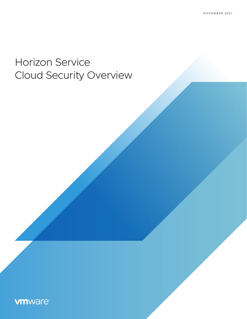# Horizon Service Cloud Security Overview

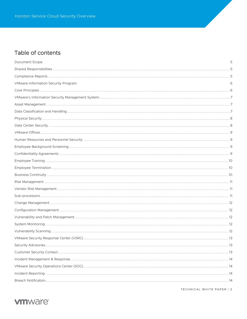## Table of contents

| Document Scope                      | 5 |
|-------------------------------------|---|
|                                     |   |
|                                     |   |
| VMware Information Security Program | 6 |
|                                     |   |
|                                     |   |
|                                     |   |
|                                     |   |
|                                     |   |
|                                     |   |
|                                     |   |
|                                     |   |
|                                     |   |
|                                     |   |
|                                     |   |
|                                     |   |
|                                     |   |
|                                     |   |
|                                     |   |
|                                     |   |
|                                     |   |
|                                     |   |
|                                     |   |
|                                     |   |
|                                     |   |
|                                     |   |
|                                     |   |
|                                     |   |
|                                     |   |
|                                     |   |
|                                     |   |
|                                     |   |
|                                     |   |

TECHNICAL WHITE PAPER | 2

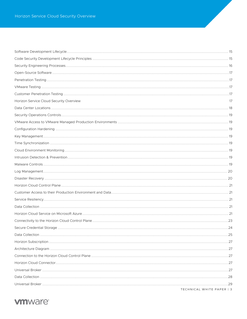| Horizon Service Cloud Security Overview | 17                        |
|-----------------------------------------|---------------------------|
|                                         |                           |
|                                         |                           |
|                                         |                           |
|                                         |                           |
|                                         |                           |
|                                         |                           |
|                                         |                           |
|                                         |                           |
|                                         |                           |
|                                         |                           |
|                                         |                           |
|                                         |                           |
|                                         |                           |
|                                         |                           |
|                                         |                           |
|                                         |                           |
|                                         |                           |
|                                         |                           |
|                                         |                           |
|                                         |                           |
|                                         |                           |
|                                         |                           |
|                                         |                           |
|                                         |                           |
|                                         |                           |
|                                         |                           |
|                                         | TECHNICAL WHITE PAPER   3 |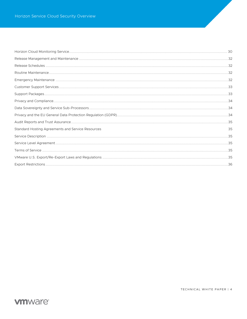| Standard Hosting Agreements and Service Resources | 35 |
|---------------------------------------------------|----|
|                                                   |    |
|                                                   |    |
|                                                   |    |
|                                                   |    |
|                                                   |    |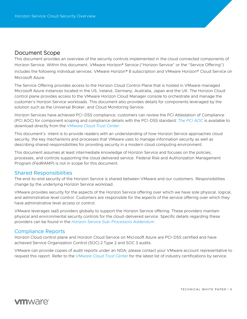## <span id="page-4-0"></span>Document Scope

This document provides an overview of the security controls implemented in the cloud connected components of Horizon Service. Within this document, VMware Horizon® Service ("Horizon Service" or the "Service Offering") includes the following individual services: VMware Horizon® 8 subscription and VMware Horizon® Cloud Service on Microsoft Azure.

The Service Offering provides access to the Horizon Cloud Control Plane that is hosted in VMware-managed Microsoft Azure instances located in the US, Ireland, Germany, Australia, Japan and the UK. The Horizon Cloud control plane provides access to the VMware Horizon Cloud Manager console to orchestrate and manage the customer's Horizon Service workloads. This document also provides details for components leveraged by the solution such as the Universal Broker, and Cloud Monitoring Service.

Horizon Services have achieved PCI-DSS compliance; customers can review the PCI Attestation of Compliance (PCI AOC) for component scoping and compliance details with the PCI-DSS standard. *[The PCI AOC](https://cloud.vmware.com/trust-center/compliance/)* is available to download directly from the *[VMware Cloud Trust Center](https://cloud.vmware.com/trust-center/compliance/)*.

This document's intent is to provide readers with an understanding of how Horizon Service approaches cloud security, the key mechanisms and processes that VMware uses to manage information security as well as describing shared responsibilities for providing security in a modern cloud computing environment.

This document assumes at least intermediate knowledge of Horizon Service and focuses on the policies, processes, and controls supporting the cloud delivered service. Federal Risk and Authorization Management Program (FedRAMP) is not in scope for this document.

## <span id="page-4-1"></span>Shared Responsibilities

The end-to-end security of the Horizon Service is shared between VMware and our customers. Responsibilities change by the underlying Horizon Service workload.

VMware provides security for the aspects of the Horizon Service offering over which we have sole physical, logical, and administrative level control. Customers are responsible for the aspects of the service offering over which they have administrative level access or control.

VMware leverages IaaS providers globally to support the Horizon Service offering. These providers maintain physical and environmental security controls for the cloud-delivered service. Specific details regarding these providers can be found in the *[Horizon Service Sub-Processors](https://www.vmware.com/content/dam/digitalmarketing/vmware/en/pdf/downloads/eula/vmw-horizon-service-sub-processors.pdf) Addendum*

## <span id="page-4-2"></span>Compliance Reports

Horizon Cloud control plane and Horizon Cloud Service on Microsoft Azure are PCI-DSS certified and have achieved Service Organization Control (SOC) 2 Type 2 and SOC 3 audits.

VMware can provide copies of audit reports under an NDA; please contact your VMware account representative to request this report. Refer to the *[VMware Cloud Trust Center](https://cloud.vmware.com/trust-center)* for the latest list of industry certifications by service.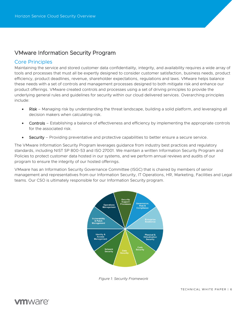## <span id="page-5-0"></span>VMware Information Security Program

## <span id="page-5-1"></span>Core Principles

Maintaining the service and stored customer data confidentiality, integrity, and availability requires a wide array of tools and processes that must all be expertly designed to consider customer satisfaction, business needs, product efficiency, product deadlines, revenue, shareholder expectations, regulations and laws. VMware helps balance these needs with a set of controls and management processes designed to both mitigate risk and enhance our product offerings. VMware created controls and processes using a set of driving principles to provide the underlying general rules and guidelines for security within our cloud delivered services. Overarching principles include:

- Risk Managing risk by understanding the threat landscape, building a solid platform, and leveraging all decision makers when calculating risk.
- Controls Establishing a balance of effectiveness and efficiency by implementing the appropriate controls for the associated risk.
- Security Providing preventative and protective capabilities to better ensure a secure service.

The VMware Information Security Program leverages guidance from industry best practices and regulatory standards, including NIST SP 800-53 and ISO 27001. We maintain a written Information Security Program and Policies to protect customer data hosted in our systems, and we perform annual reviews and audits of our program to ensure the integrity of our hosted offerings.

VMware has an Information Security Governance Committee (ISGC) that is chaired by members of senior management and representatives from our Information Security, IT Operations, HR, Marketing, Facilities and Legal teams. Our CSO is ultimately responsible for our Information Security program.



*Figure 1: Security Framework*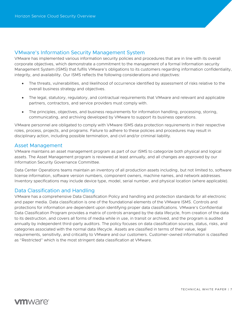## <span id="page-6-0"></span>VMware's Information Security Management System

VMware has implemented various information security policies and procedures that are in line with its overall corporate objectives, which demonstrate a commitment to the management of a formal Information security Management System (ISMS) that fulfils VMware's obligations to its customers regarding information confidentiality, integrity, and availability. Our ISMS reflects the following considerations and objectives:

- The threats, vulnerabilities, and likelihood of occurrence identified by assessment of risks relative to the overall business strategy and objectives.
- The legal, statutory, regulatory, and contractual requirements that VMware and relevant and applicable partners, contractors, and service providers must comply with.
- The principles, objectives, and business requirements for information handling, processing, storing, communicating, and archiving developed by VMware to support its business operations.

VMware personnel are obligated to comply with VMware ISMS data protection requirements in their respective roles, process, projects, and programs. Failure to adhere to these policies and procedures may result in disciplinary action, including possible termination, and civil and/or criminal liability.

#### <span id="page-6-1"></span>Asset Management

VMware maintains an asset management program as part of our ISMS to categorize both physical and logical assets. The Asset Management program is reviewed at least annually, and all changes are approved by our Information Security Governance Committee.

Data Center Operations teams maintain an inventory of all production assets including, but not limited to, software license information, software version numbers, component owners, machine names, and network addresses. Inventory specifications may include device type, model, serial number, and physical location (where applicable).

### <span id="page-6-2"></span>Data Classification and Handling

VMware has a comprehensive Data Classification Policy and handling and protection standards for all electronic and paper media. Data classification is one of the foundational elements of the VMware ISMS. Controls and protections for information are dependent upon identifying proper data classifications. VMware's Confidential Data Classification Program provides a matrix of controls arranged by the data lifecycle, from creation of the data to its destruction, and covers all forms of media while in use, in transit or archived, and the program is audited annually by independent third-party auditors. The policy focuses on data classification sources, status, risks, and categories associated with the normal data lifecycle. Assets are classified in terms of their value, legal requirements, sensitivity, and criticality to VMware and our customers. Customer-owned information is classified as "Restricted" which is the most stringent data classification at VMware.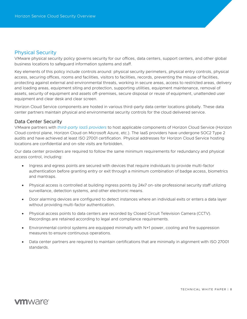### <span id="page-7-0"></span>Physical Security

VMware physical security policy governs security for our offices, data centers, support centers, and other global business locations to safeguard information systems and staff.

Key elements of this policy include controls around: physical security perimeters, physical entry controls, physical access, securing offices, rooms and facilities, visitors to facilities, records, preventing the misuse of facilities, protecting against external and environmental threats, working in secure areas, access to restricted areas, delivery and loading areas, equipment siting and protection, supporting utilities, equipment maintenance, removal of assets, security of equipment and assets off-premises, secure disposal or reuse of equipment, unattended user equipment and clear desk and clear screen.

Horizon Cloud Service components are hosted in various third-party data center locations globally. These data center partners maintain physical and environmental security controls for the cloud delivered service.

#### <span id="page-7-1"></span>Data Center Security

VMware partners with *[third-party IaaS providers](https://www.vmware.com/content/dam/digitalmarketing/vmware/en/pdf/downloads/eula/vmw-horizon-service-sub-processors.pdf)* to host applicable components of Horizon Cloud Service (Horizon Cloud control plane, Horizon Cloud on Microsoft Azure, etc.). The IaaS providers have undergone SOC2 Type 2 audits and have achieved at least ISO 27001 certification. Physical addresses for Horizon Cloud Service hosting locations are confidential and on-site visits are forbidden.

Our data center providers are required to follow the same minimum requirements for redundancy and physical access control, including:

- Ingress and egress points are secured with devices that require individuals to provide multi-factor authentication before granting entry or exit through a minimum combination of badge access, biometrics and mantraps.
- Physical access is controlled at building ingress points by 24x7 on-site professional security staff utilizing surveillance, detection systems, and other electronic means.
- Door alarming devices are configured to detect instances where an individual exits or enters a data layer without providing multi-factor authentication.
- Physical access points to data centers are recorded by Closed Circuit Television Camera (CCTV). Recordings are retained according to legal and compliance requirements.
- Environmental control systems are equipped minimally with N+1 power, cooling and fire suppression measures to ensure continuous operations.
- Data center partners are required to maintain certifications that are minimally in alignment with ISO 27001 standards.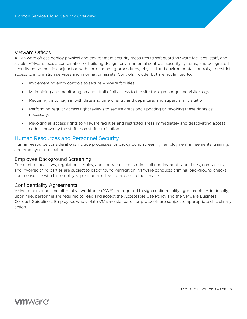#### <span id="page-8-0"></span>VMware Offices

All VMware offices deploy physical and environment security measures to safeguard VMware facilities, staff, and assets. VMware uses a combination of building design, environmental controls, security systems, and designated security personnel, in conjunction with corresponding procedures, physical and environmental controls, to restrict access to information services and information assets. Controls include, but are not limited to:

- Implementing entry controls to secure VMware facilities.
- Maintaining and monitoring an audit trail of all access to the site through badge and visitor logs.
- Requiring visitor sign in with date and time of entry and departure, and supervising visitation.
- Performing regular access right reviews to secure areas and updating or revoking these rights as necessary.
- Revoking all access rights to VMware facilities and restricted areas immediately and deactivating access codes known by the staff upon staff termination.

#### <span id="page-8-1"></span>Human Resources and Personnel Security

Human Resource considerations include processes for background screening, employment agreements, training, and employee termination.

#### <span id="page-8-2"></span>Employee Background Screening

Pursuant to local laws, regulations, ethics, and contractual constraints, all employment candidates, contractors, and involved third parties are subject to background verification. VMware conducts criminal background checks, commensurate with the employee position and level of access to the service.

#### <span id="page-8-3"></span>Confidentiality Agreements

VMware personnel and alternative workforce (AWF) are required to sign confidentiality agreements. Additionally, upon hire, personnel are required to read and accept the Acceptable Use Policy and the VMware Business Conduct Guidelines. Employees who violate VMware standards or protocols are subject to appropriate disciplinary action.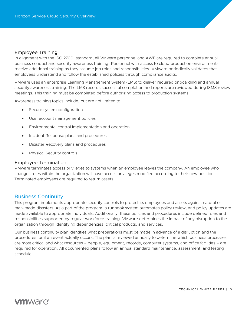#### <span id="page-9-0"></span>Employee Training

In alignment with the ISO 27001 standard, all VMware personnel and AWF are required to complete annual business conduct and security awareness training. Personnel with access to cloud production environments receive additional training as they assume job roles and responsibilities. VMware periodically validates that employees understand and follow the established policies through compliance audits.

VMware uses an enterprise Learning Management System (LMS) to deliver required onboarding and annual security awareness training. The LMS records successful completion and reports are reviewed during ISMS review meetings. This training must be completed before authorizing access to production systems.

Awareness training topics include, but are not limited to:

- Secure system configuration
- User account management policies
- Environmental control implementation and operation
- Incident Response plans and procedures
- Disaster Recovery plans and procedures
- Physical Security controls

#### <span id="page-9-1"></span>Employee Termination

VMware terminates access privileges to systems when an employee leaves the company. An employee who changes roles within the organization will have access privileges modified according to their new position. Terminated employees are required to return assets.

### <span id="page-9-2"></span>Business Continuity

This program implements appropriate security controls to protect its employees and assets against natural or man-made disasters. As a part of the program, a runbook system automates policy review, and policy updates are made available to appropriate individuals. Additionally, these policies and procedures include defined roles and responsibilities supported by regular workforce training. VMware determines the impact of any disruption to the organization through identifying dependencies, critical products, and services.

Our business continuity plan identifies what preparations must be made in advance of a disruption and the procedures for if an event actually occurs. The plan is reviewed annually to determine which business processes are most critical and what resources – people, equipment, records, computer systems, and office facilities – are required for operation. All documented plans follow an annual standard maintenance, assessment, and testing schedule.

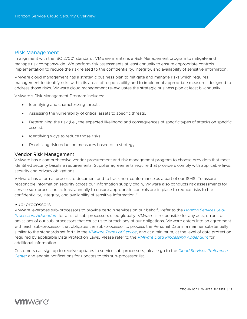#### <span id="page-10-0"></span>Risk Management

In alignment with the ISO 27001 standard, VMware maintains a Risk Management program to mitigate and manage risk companywide. We perform risk assessments at least annually to ensure appropriate controls implementation to reduce the risk related to the confidentiality, integrity, and availability of sensitive information.

VMware cloud management has a strategic business plan to mitigate and manage risks which requires management to identify risks within its areas of responsibility and to implement appropriate measures designed to address those risks. VMware cloud management re-evaluates the strategic business plan at least bi-annually.

VMware's Risk Management Program includes:

- Identifying and characterizing threats.
- Assessing the vulnerability of critical assets to specific threats.
- Determining the risk (i.e., the expected likelihood and consequences of specific types of attacks on specific assets).
- Identifying ways to reduce those risks.
- Prioritizing risk reduction measures based on a strategy.

#### <span id="page-10-1"></span>Vendor Risk Management

VMware has a comprehensive vendor procurement and risk management program to choose providers that meet identified security baseline requirements. Supplier agreements require that providers comply with applicable laws, security and privacy obligations.

<span id="page-10-2"></span>VMware has a formal process to document and to track non-conformance as a part of our ISMS. To assure reasonable information security across our information supply chain, VMware also conducts risk assessments for service sub-processors at least annually to ensure appropriate controls are in place to reduce risks to the confidentiality, integrity, and availability of sensitive information."

#### Sub-processors

VMware leverages sub-processors to provide certain services on our behalf. Refer to the *[Horizon Services Sub-](https://www.vmware.com/content/dam/digitalmarketing/vmware/en/pdf/downloads/eula/vmw-horizon-service-sub-processors.pdf)[Processors Addendum](https://www.vmware.com/content/dam/digitalmarketing/vmware/en/pdf/downloads/eula/vmw-horizon-service-sub-processors.pdf)* for a list of sub-processors used globally. VMware is responsible for any acts, errors, or omissions of our sub-processors that cause us to breach any of our obligations. VMware enters into an agreement with each sub-processor that obligates the sub-processor to process the Personal Data in a manner substantially similar to the standards set forth in the *[VMware Terms of Service](https://www.vmware.com/content/dam/digitalmarketing/vmware/en/pdf/downloads/eula/vmware-cloud-services-universal-tos.pdf)*, and at a minimum, at the level of data protection required by applicable Data Protection Laws. Please refer to the *[VMware Data Processing Addendum](https://www.vmware.com/content/dam/digitalmarketing/vmware/en/pdf/downloads/eula/vmware-data-processing-addendum.pdf)* for additional information.

Customers can sign up to receive updates to service sub-processors, please go to the *[Cloud Services Preference](http://pages.cloud.vmware.com/sub-processor-communications)  [Center](http://pages.cloud.vmware.com/sub-processor-communications)* and enable notifications for updates to this sub-processor list.

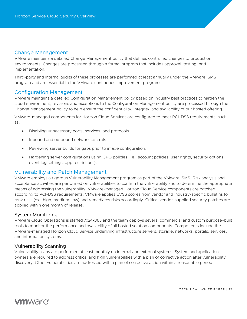### <span id="page-11-0"></span>Change Management

VMware maintains a detailed Change Management policy that defines controlled changes to production environments. Changes are processed through a formal program that includes approval, testing, and implementation.

Third-party and internal audits of these processes are performed at least annually under the VMware ISMS program and are essential to the VMware continuous improvement programs.

## <span id="page-11-1"></span>Configuration Management

VMware maintains a detailed Configuration Management policy based on industry best practices to harden the cloud environment; revisions and exceptions to the Configuration Management policy are processed through the Change Management policy to help ensure the confidentiality, integrity, and availability of our hosted offering.

VMware-managed components for Horizon Cloud Services are configured to meet PCI-DSS requirements, such as:

- Disabling unnecessary ports, services, and protocols.
- Inbound and outbound network controls.
- Reviewing server builds for gaps prior to image configuration.
- Hardening server configurations using GPO policies (i.e., account policies, user rights, security options, event log settings, app restrictions).

### <span id="page-11-2"></span>Vulnerability and Patch Management

VMware employs a rigorous Vulnerability Management program as part of the VMware ISMS. Risk analysis and acceptance activities are performed on vulnerabilities to confirm the vulnerability and to determine the appropriate means of addressing the vulnerability. VMware-managed Horizon Cloud Service components are patched according to PCI-DSS requirements: VMware applies CVSS scores from vendor and industry-specific bulletins to rank risks (ex., high, medium, low) and remediates risks accordingly. Critical vendor-supplied security patches are applied within one month of release.

#### <span id="page-11-3"></span>System Monitoring

VMware Cloud Operations is staffed 7x24x365 and the team deploys several commercial and custom purpose-built tools to monitor the performance and availability of all hosted solution components. Components include the VMware-managed Horizon Cloud Service underlying infrastructure servers, storage, networks, portals, services, and information systems.

#### <span id="page-11-4"></span>Vulnerability Scanning

Vulnerability scans are performed at least monthly on internal and external systems. System and application owners are required to address critical and high vulnerabilities with a plan of corrective action after vulnerability discovery. Other vulnerabilities are addressed with a plan of corrective action within a reasonable period.

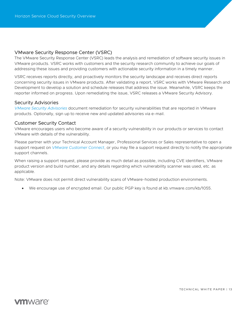### <span id="page-12-0"></span>VMware Security Response Center (VSRC)

The VMware Security Response Center (VSRC) leads the analysis and remediation of software security issues in VMware products. VSRC works with customers and the security research community to achieve our goals of addressing these issues and providing customers with actionable security information in a timely manner.

VSRC receives reports directly, and proactively monitors the security landscape and receives direct reports concerning security issues in VMware products. After validating a report, VSRC works with VMware Research and Development to develop a solution and schedule releases that address the issue. Meanwhile, VSRC keeps the reporter informed on progress. Upon remediating the issue, VSRC releases a VMware Security Advisory.

#### <span id="page-12-1"></span>Security Advisories

*[VMware Security Advisories](http://www.vmware.com/security/advisories)* document remediation for security vulnerabilities that are reported in VMware products. Optionally, sign up to receive new and updated advisories via e-mail.

#### <span id="page-12-2"></span>Customer Security Contact

VMware encourages users who become aware of a security vulnerability in our products or services to contact VMware with details of the vulnerability.

Please partner with your Technical Account Manager, Professional Services or Sales representative to open a support request on *[VMware Customer Connect](https://my.vmware.com/web/vmware/login?bmctx=296D2E0AAD70CA31C97E695D763C13F7622392514A6552A849FE0184F298DF1D&contextType=external&username=string&OverrideRetryLimit=1&action=%2F&password=secure_string&challenge_url=https:%2F%2Fmy.vmware.com%2Fweb%2Fvmware%2Flogin&creds=username%20password&request_id=9072614201085288505&authn_try_count=0&locale=en_US&resource_url=%252Fuser%252Floginsso)*, or you may file a support request directly to notify the appropriate support channels.

When raising a support request, please provide as much detail as possible, including CVE identifiers, VMware product version and build number, and any details regarding which vulnerability scanner was used, etc. as applicable.

Note: VMware does not permit direct vulnerability scans of VMware-hosted production environments.

• We encourage use of encrypted email. Our public PGP key is found at kb.vmware.com/kb/1055.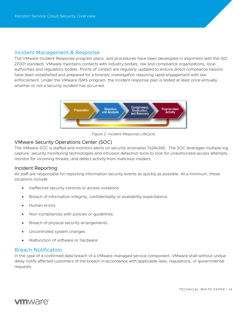#### <span id="page-13-0"></span>Incident Management & Response

The VMware Incident Response program plans, and procedures have been developed in alignment with the ISO 27001 standard. VMware maintains contacts with industry bodies, risk and compliance organizations, local authorities and regulatory bodies. Points of contact are regularly updated to ensure direct compliance liaisons have been established and prepared for a forensic investigation requiring rapid engagement with law enforcement. Under the VMware ISMS program, the incident response plan is tested at least once annually, whether or not a security incident has occurred.



*Figure 2: Incident Response Lifecycle*

### <span id="page-13-1"></span>VMware Security Operations Center (SOC)

The VMware SOC is staffed and monitors alerts on security anomalies 7x24x365. The SOC leverages multiple log capture, security monitoring technologies and intrusion detection tools to look for unauthorized access attempts, monitor for incoming threats, and detect activity from malicious insiders.

#### <span id="page-13-2"></span>Incident Reporting

All staff are responsible for reporting information security events as quickly as possible. At a minimum, these situations include:

- Ineffective security controls or access violations.
- Breach of information integrity, confidentiality or availability expectations.
- Human errors.
- Non-compliances with policies or guidelines.
- Breach of physical security arrangements.
- Uncontrolled system changes.
- Malfunction of software or hardware

### <span id="page-13-3"></span>Breach Notification

In the case of a confirmed data breach of a VMware-managed service component, VMware shall without undue delay notify affected customers of the breach in accordance with applicable laws, regulations, or governmental requests.

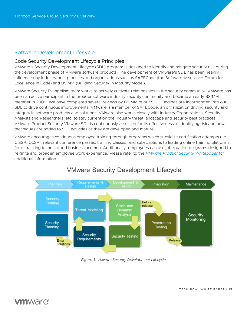## <span id="page-14-0"></span>Software Development Lifecycle

#### <span id="page-14-1"></span>Code Security Development Lifecycle Principles

VMware's Security Development Lifecycle (SDL) program is designed to identify and mitigate security risk during the development phase of VMware software products. The development of VMware's SDL has been heavily influenced by industry best practices and organizations such as SAFECode (the Software Assurance Forum for Excellence in Code) and BSIMM (Building Security in Maturity Model).

VMware Security Evangelism team works to actively cultivate relationships in the security community. VMware has been an active participant in the broader software industry security community and became an early BSIMM member in 2009: We have completed several reviews by BSIMM of our SDL. Findings are incorporated into our SDL to drive continuous improvements. VMware is a member of SAFECode, an organization driving security and integrity in software products and solutions. VMware also works closely with Industry Organizations, Security Analysts and Researchers, etc. to stay current on the Industry threat landscape and security best practices. VMware Product Security VMware SDL is continuously assessed for its effectiveness at identifying risk and new techniques are added to SDL activities as they are developed and mature.

VMware encourages continuous employee training through programs which subsidize certification attempts (i.e., CISSP, CCSP), relevant conference passes, training classes, and subscriptions to leading online training platforms for enhancing technical and business acumen. Additionally, employees can use job rotation programs designed to reignite and broaden employee work experience. Please refer to the *[VMware Product Security Whitepaper](https://www.vmware.com/content/dam/digitalmarketing/vmware/en/pdf/whitepaper/vmware-product-security-white-paper.pdf)* for additional information.



## **VMware Security Development Lifecycle**

<span id="page-14-2"></span>*Figure 3: VMware Security Development Lifecycle*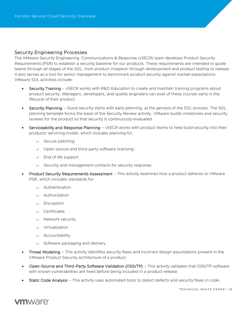#### Security Engineering Processes

The VMware Security Engineering, Communications & Response (vSECR) team develops Product Security Requirements (PSR) to establish a security baseline for our products. These requirements are intended to guide teams through all stages of the SDL, from product inception through development and product testing to release. It also serves as a tool for senior management to benchmark product security against market expectations. VMware SDL activities include:

- Security Training vSECR works with R&D Education to create and maintain training programs about product security. Managers, developers, and quality engineers can avail of these courses early in the lifecycle of their product.
- Security Planning Good security starts with early planning, at the genesis of the SDL process. The SDL planning template forms the basis of the Security Review activity. VMware builds milestones and security reviews for the product so that security is continuously evaluated.
- Serviceability and Response Planning vSECR works with product teams to help build security into their products' servicing model, which includes planning for:
	- o Secure patching.
	- o Open-source and third-party software licensing.
	- o End of life support.
	- o Security and management contacts for security response.
- Product Security Requirements Assessment This activity examines how a product adheres to VMware PSR, which includes standards for:
	- o Authentication
	- o Authorization
	- o Encryption
	- o Certificates
	- o Network security
	- o Virtualization
	- o Accountability
	- o Software packaging and delivery
- Threat Modeling This activity identifies security flaws and incorrect design assumptions present in the VMware Product Security architecture of a product.
- Open-Source and Third-Party Software Validation (OSS/TP) This activity validates that OSS/TP software with known vulnerabilities are fixed before being included in a product release.
- **Static Code Analysis** This activity uses automated tools to detect defects and security flaws in code.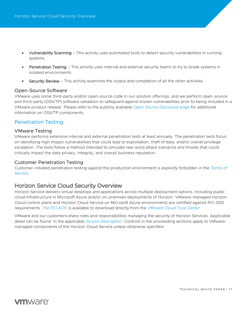- Vulnerability Scanning This activity uses automated tools to detect security vulnerabilities in running systems.
- Penetration Testing This activity uses internal and external security teams to try to break systems in isolated environments.
- Security Review This activity examines the output and completion of all the other activities.

#### <span id="page-16-0"></span>Open-Source Software

VMware uses some third-party and/or open-source code in our solution offerings, and we perform open-source and third-party (OSS/TP) software validation to safeguard against known vulnerabilities prior to being included in a VMware product release. Please refer to the publicly available *[Open Source Disclosure page](http://www.vmware.com/download/open_source.html)* for additional information on OSS/TP components.

## <span id="page-16-1"></span>Penetration Testing

#### <span id="page-16-2"></span>VMware Testing

VMware performs extensive internal and external penetration tests at least annually. The penetration tests focus on identifying high impact vulnerabilities that could lead to exploitation, theft of data, and/or overall privilege escalation. The tests follow a method intended to simulate real-word attack scenarios and threats that could critically impact the data privacy, integrity, and overall business reputation.

#### <span id="page-16-3"></span>Customer Penetration Testing

Customer-initiated penetration testing against the production environment is explicitly forbidden in the *[Terms of](https://www.vmware.com/download/eula/workspace-one-terms-of-service.html)  [Service.](https://www.vmware.com/download/eula/workspace-one-terms-of-service.html)*

## <span id="page-16-4"></span>Horizon Service Cloud Security Overview

Horizon Service delivers virtual desktops and applications across multiple deployment options, including public cloud infrastructure in Microsoft Azure and/or on-premises deployments of Horizon. VMware-managed Horizon Cloud control plane and Horizon Cloud Service on Microsoft Azure environments are certified against PCI-DSS requirements. *[The PCI AOC](https://cloud.vmware.com/trust-center/compliance/)* is available to download directly from the *[VMware Cloud Trust Center](https://cloud.vmware.com/trust-center/compliance/)*

VMware and our customers share roles and responsibilities managing the security of Horizon Services. Applicable detail can be found in the applicable *[Service Description](https://www.vmware.com/content/dam/digitalmarketing/vmware/en/pdf/downloads/eula/vmw-horizon-service-description.pdf)*. Controls in the proceeding sections apply to VMwaremanaged components of the Horizon Cloud Service unless otherwise specified.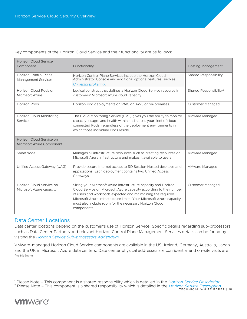Key components of the Horizon Cloud Service and their functionality are as follows:

| <b>Horizon Cloud Service</b><br>Component             | Functionality                                                                                                                                                                                                                                                                                                                                         | <b>Hosting Management</b>          |
|-------------------------------------------------------|-------------------------------------------------------------------------------------------------------------------------------------------------------------------------------------------------------------------------------------------------------------------------------------------------------------------------------------------------------|------------------------------------|
| Horizon Control Plane<br>Management Services          | Horizon Control Plane Services include the Horizon Cloud<br>Administrator Console and additional optional features, such as<br><b>Universal Brokering.</b>                                                                                                                                                                                            | Shared Responsibility <sup>1</sup> |
| Horizon Cloud Pods on<br>Microsoft Azure              | Logical construct that defines a Horizon Cloud Service resource in<br>customers' Microsoft Azure cloud capacity.                                                                                                                                                                                                                                      | Shared Responsibility <sup>2</sup> |
| <b>Horizon Pods</b>                                   | Horizon Pod deployments on VMC on AWS or on-premises.                                                                                                                                                                                                                                                                                                 | <b>Customer Managed</b>            |
| Horizon Cloud Monitoring<br>Service                   | The Cloud Monitoring Service (CMS) gives you the ability to monitor<br>capacity, usage, and health within and across your fleet of cloud-<br>connected Pods, regardless of the deployment environments in<br>which those individual Pods reside.                                                                                                      | <b>VMware Managed</b>              |
| Horizon Cloud Service on<br>Microsoft Azure Component |                                                                                                                                                                                                                                                                                                                                                       |                                    |
| SmartNode                                             | Manages all infrastructure resources such as creating resources on<br>Microsoft Azure infrastructure and makes it available to users.                                                                                                                                                                                                                 | <b>VMware Managed</b>              |
| Unified Access Gateway (UAG)                          | Provide secure Internet access to RD Session Hosted desktops and<br>applications. Each deployment contains two Unified Access<br>Gateways.                                                                                                                                                                                                            | <b>VMware Managed</b>              |
| Horizon Cloud Service on<br>Microsoft Azure capacity  | Sizing your Microsoft Azure infrastructure capacity and Horizon<br>Cloud Service on Microsoft Azure capacity according to the number<br>of users and workloads expected and maintaining the required<br>Microsoft Azure infrastructure limits. Your Microsoft Azure capacity<br>must also include room for the necessary Horizon Cloud<br>components. | <b>Customer Managed</b>            |

### <span id="page-17-0"></span>Data Center Locations

Data center locations depend on the customer's use of Horizon Service. Specific details regarding sub-processors such as Data Center Partners and relevant Horizon Control Plane Management Services details can be found by visiting the *[Horizon Service Sub-processors Addendum](https://www.vmware.com/content/dam/digitalmarketing/vmware/en/pdf/downloads/eula/vmw-horizon-service-sub-processors.pdf)*

VMware-managed Horizon Cloud Service components are available in the US, Ireland, Germany, Australia, Japan and the UK in Microsoft Azure data centers. Data center physical addresses are confidential and on-site visits are forbidden.

<sup>1</sup> Please Note – This component is a shared responsibility which is detailed in the *[Horizon Service Description](https://www.vmware.com/content/dam/digitalmarketing/vmware/en/pdf/downloads/eula/vmw-horizon-service-description.pdf)*

TECHNICAL WHITE PAPER | 18 <sup>2</sup> Please Note – This component is a shared responsibility which is detailed in the *[Horizon Service Description](https://www.vmware.com/content/dam/digitalmarketing/vmware/en/pdf/downloads/eula/vmw-horizon-service-description.pdf)*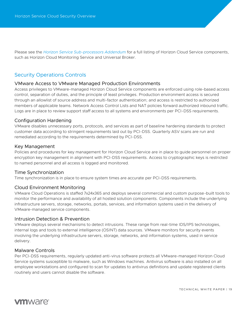Please see the *[Horizon Service Sub-processors Addendum](https://www.vmware.com/content/dam/digitalmarketing/vmware/en/pdf/downloads/eula/vmw-horizon-service-sub-processors.pdf)* for a full listing of Horizon Cloud Service components, such as Horizon Cloud Monitoring Service and Universal Broker.

## <span id="page-18-0"></span>Security Operations Controls

#### <span id="page-18-1"></span>VMware Access to VMware Managed Production Environments

Access privileges to VMware-managed Horizon Cloud Service components are enforced using role-based access control, separation of duties, and the principle of least privileges. Production environment access is secured through an allowlist of source address and multi-factor authentication; and access is restricted to authorized members of applicable teams. Network Access Control Lists and NAT policies forward authorized inbound traffic. Logs are in place to review support staff access to all systems and environments per PCI-DSS requirements.

#### <span id="page-18-2"></span>Configuration Hardening

VMware disables unnecessary ports, protocols, and services as part of baseline hardening standards to protect customer data according to stringent requirements laid out by PCI-DSS. Quarterly ASV scans are run and remediated according to the requirements determined by PCI-DSS.

#### <span id="page-18-3"></span>Key Management

Policies and procedures for key management for Horizon Cloud Service are in place to guide personnel on proper encryption key management in alignment with PCI-DSS requirements. Access to cryptographic keys is restricted to named personnel and all access is logged and monitored.

#### <span id="page-18-4"></span>Time Synchronization

Time synchronization is in place to ensure system times are accurate per PCI-DSS requirements.

#### <span id="page-18-5"></span>Cloud Environment Monitoring

VMware Cloud Operations is staffed 7x24x365 and deploys several commercial and custom purpose-built tools to monitor the performance and availability of all hosted solution components. Components include the underlying infrastructure servers, storage, networks, portals, services, and information systems used in the delivery of VMware-managed service components.

#### <span id="page-18-6"></span>Intrusion Detection & Prevention

VMware deploys several mechanisms to detect intrusions. These range from real-time IDS/IPS technologies, internal logs and tools to external intelligence (OSINT) data sources. VMware monitors for security events involving the underlying infrastructure servers, storage, networks, and information systems, used in service delivery.

#### <span id="page-18-7"></span>Malware Controls

Per PCI-DSS requirements, regularly updated anti-virus software protects all VMware-managed Horizon Cloud Service systems susceptible to malware, such as Windows machines. Antivirus software is also installed on all employee workstations and configured to scan for updates to antivirus definitions and update registered clients routinely and users cannot disable the software.

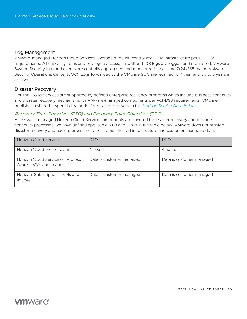#### <span id="page-19-0"></span>Log Management

VMware-managed Horizon Cloud Services leverage a robust, centralized SIEM infrastructure per PCI-DSS requirements. All critical systems and privileged access, firewall and IDS logs are logged and monitored. VMware System Security logs and events are centrally aggregated and monitored in real-time 7x24x365 by the VMware Security Operations Center (SOC). Logs forwarded to the VMware SOC are retained for 1 year and up to 5 years in archive.

#### <span id="page-19-1"></span>Disaster Recovery

Horizon Cloud Services are supported by defined enterprise resiliency programs which include business continuity and disaster recovery mechanisms for VMware-managed components per PCI-DSS requirements. VMware publishes a shared responsibility model for disaster recovery in the *[Horizon Service Description](https://www.vmware.com/content/dam/digitalmarketing/vmware/en/pdf/downloads/eula/vmw-horizon-service-description.pdf)*.

#### Recovery Time Objectives (RTO) and Recovery Point Objectives (RPO)

All VMware-managed Horizon Cloud Service components are covered by disaster recovery and business continuity processes; we have defined applicable RTO and RPOs in the table below. VMware does not provide disaster recovery and backup processes for customer-hosted infrastructure and customer-managed data.

| <b>Horizon Cloud Service</b>                                 | <b>RTO</b>               | <b>RPO</b>               |
|--------------------------------------------------------------|--------------------------|--------------------------|
| Horizon Cloud control plane                                  | 4 hours                  | 4 hours                  |
| Horizon Cloud Service on Microsoft<br>Azure - VMs and images | Data is customer managed | Data is customer managed |
| Horizon Subscription - VMs and<br>images                     | Data is customer managed | Data is customer managed |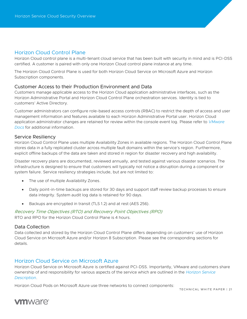## <span id="page-20-0"></span>Horizon Cloud Control Plane

Horizon Cloud control plane is a multi-tenant cloud service that has been built with security in mind and is PCI-DSS certified. A customer is paired with only one Horizon Cloud control plane instance at any time.

The Horizon Cloud Control Plane is used for both Horizon Cloud Service on Microsoft Azure and Horizon Subscription components.

#### <span id="page-20-1"></span>Customer Access to their Production Environment and Data

Customers manage applicable access to the Horizon Cloud application administrative interfaces, such as the Horizon Administrative Portal and Horizon Cloud Control Plane orchestration services. Identity is tied to customers' Active Directory.

Customer administrators can configure role-based access controls (RBAC) to restrict the depth of access and user management information and features available to each Horizon Administrative Portal user. Horizon Cloud application administrator changes are retained for review within the console event log. Please refer to *[VMware](https://docs.vmware.com/)  [Docs](https://docs.vmware.com/)* for additional information.

#### <span id="page-20-2"></span>Service Resiliency

Horizon Cloud Control Plane uses multiple Availability Zones in available regions. The Horizon Cloud Control Plane stores data in a fully replicated cluster across multiple fault domains within the service's region. Furthermore, explicit offline backups of the data are taken and stored in region for disaster recovery and high availability.

Disaster recovery plans are documented, reviewed annually, and tested against various disaster scenarios. The infrastructure is designed to ensure that customers will typically not notice a disruption during a component or system failure. Service resiliency strategies include, but are not limited to:

- The use of multiple Availability Zones.
- Daily point-in-time backups are stored for 30 days and support staff review backup processes to ensure data integrity. System audit log data is retained for 90 days.
- Backups are encrypted in transit (TLS 1.2) and at rest (AES 256).

Recovery Time Objectives (RTO) and Recovery Point Objectives (RPO) RTO and RPO for the Horizon Cloud Control Plane is 4 hours.

#### <span id="page-20-3"></span>Data Collection

Data collected and stored by the Horizon Cloud Control Plane differs depending on customers' use of Horizon Cloud Service on Microsoft Azure and/or Horizon 8 Subscription. Please see the corresponding sections for details.

## <span id="page-20-4"></span>Horizon Cloud Service on Microsoft Azure

Horizon Cloud Service on Microsoft Azure is certified against PCI-DSS. Importantly, VMware and customers share ownership of and responsibility for various aspects of the service which are outlined in the *[Horizon Service](https://www.vmware.com/content/dam/digitalmarketing/vmware/en/pdf/downloads/eula/vmw-horizon-service-description.pdf)  [Description](https://www.vmware.com/content/dam/digitalmarketing/vmware/en/pdf/downloads/eula/vmw-horizon-service-description.pdf)*.

Horizon Cloud Pods on Microsoft Azure use three networks to connect components:

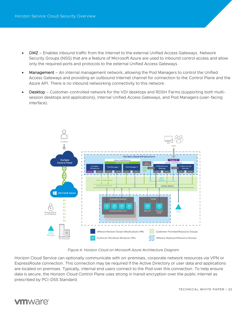- DMZ Enables inbound traffic from the Internet to the external Unified Access Gateways. Network Security Groups (NSG) that are a feature of Microsoft Azure are used to inbound control access and allow only the required ports and protocols to the external Unified Access Gateways.
- Management An internal management network, allowing the Pod Managers to control the Unified Access Gateways and providing an outbound Internet channel for connection to the Control Plane and the Azure API. There is no inbound networking connectivity to this network.
- Desktop Customer-controlled network for the VDI desktops and RDSH Farms (supporting both multisession desktops and applications), internal Unified Access Gateways, and Pod Managers (user-facing interface).



#### *Figure 4: Horizon Cloud on Microsoft Azure Architecture Diagram*

Horizon Cloud Service can optionally communicate with on-premises, corporate network resources via VPN or ExpressRoute connection. This connection may be required if the Active Directory or user data and applications are located on premises. Typically, internal end users connect to the Pod over this connection. To help ensure data is secure, the Horizon Cloud Control Plane uses strong in transit encryption over the public internet as prescribed by PCI-DSS Standard.



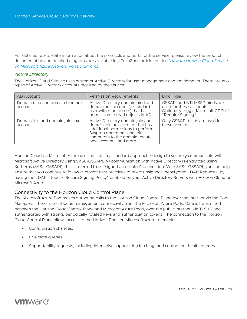For detailed, up-to-date information about the protocols and ports for the service, please review the product documentation and detailed diagrams are available in a TechZone article entitled *[VMware Horizon Cloud Service](https://techzone.vmware.com/resource/vmware-horizon-cloud-service-microsoft-azure-network-ports-diagrams)  [on Microsoft Azure Network Ports Diagrams](https://techzone.vmware.com/resource/vmware-horizon-cloud-service-microsoft-azure-network-ports-diagrams)*.

#### Active Directory

The Horizon Cloud Service uses customer Active Directory for user management and entitlements. There are two types of Active Directory accounts required by the service:

| AD Account                                 | <b>Permission Requirements</b>                                                                                                                                                                        | <b>Bind Type</b>                                                                                                   |
|--------------------------------------------|-------------------------------------------------------------------------------------------------------------------------------------------------------------------------------------------------------|--------------------------------------------------------------------------------------------------------------------|
| Domain bind and domain bind aux<br>account | Active Directory domain bind and<br>domain aux account (a standard<br>user with read access) that has<br>permission to read objects in AD                                                             | GSSAPI and NTLMSSP binds are<br>used for these accounts<br>Optionally toggle Microsoft GPO of<br>"Require Signing" |
| Domain join and domain join aux<br>account | Active Directory domain join and<br>domain join aux account that has<br>additional permissions to perform<br>Sysprep operations and join<br>computers to the domain, create<br>new accounts, and more | Only GSSAPI binds are used for<br>these accounts.                                                                  |

Horizon Cloud on Microsoft Azure uses an industry-standard approach / design to securely communicate with Microsoft Active Directory using SASL-GSSAPI. All communication with Active Directory is encrypted using Kerberos (SASL-GSSAPI); this is referred to as "signed and sealed" connection. With SASL-GSSAPI, you can help ensure that you continue to follow Microsoft best practices to reject unsigned/unencrypted LDAP Requests, by having the LDAP "Require Secure Signing Policy" enabled on your Active Directory Servers with Horizon Cloud on Microsoft Azure.

### <span id="page-22-0"></span>Connectivity to the Horizon Cloud Control Plane

The Microsoft Azure Pod makes outbound calls to the Horizon Cloud Control Plane over the Internet via the Pod Managers. There is no inbound management connectivity from the Microsoft Azure Pods. Data is transmitted between the Horizon Cloud Control Plane and Microsoft Azure Pods, over the public internet, via TLS 1.2 and authenticated with strong, periodically rotated keys and authentication tokens. The connection to the Horizon Cloud Control Plane allows access to the Horizon Pods on Microsoft Azure to enable:

- Configuration changes.
- Live state queries.
- Supportability requests, including interactive support, log fetching, and component health queries.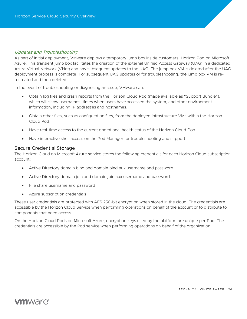#### Updates and Troubleshooting

As part of initial deployment, VMware deploys a temporary jump box inside customers' Horizon Pod on Microsoft Azure. This transient jump box facilitates the creation of the external Unified Access Gateway (UAG) in a dedicated Azure Virtual Network (VNet) and any subsequent updates to the UAG. The jump box VM is deleted after the UAG deployment process is complete. For subsequent UAG updates or for troubleshooting, the jump box VM is rerecreated and then deleted.

In the event of troubleshooting or diagnosing an issue, VMware can:

- Obtain log files and crash reports from the Horizon Cloud Pod (made available as "Support Bundle"), which will show usernames, times when users have accessed the system, and other environment information, including IP addresses and hostnames.
- Obtain other files, such as configuration files, from the deployed infrastructure VMs within the Horizon Cloud Pod.
- Have real-time access to the current operational health status of the Horizon Cloud Pod.
- Have interactive shell access on the Pod Manager for troubleshooting and support.

#### <span id="page-23-0"></span>Secure Credential Storage

The Horizon Cloud on Microsoft Azure service stores the following credentials for each Horizon Cloud subscription account:

- Active Directory domain bind and domain bind aux username and password.
- Active Directory domain join and domain join aux username and password.
- File share username and password.
- Azure subscription credentials.

These user credentials are protected with AES 256-bit encryption when stored in the cloud. The credentials are accessible by the Horizon Cloud Service when performing operations on behalf of the account or to distribute to components that need access.

On the Horizon Cloud Pods on Microsoft Azure, encryption keys used by the platform are unique per Pod. The credentials are accessible by the Pod service when performing operations on behalf of the organization.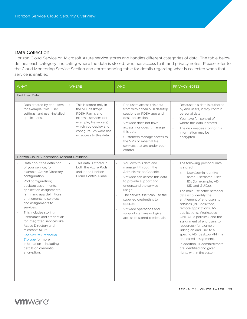#### <span id="page-24-0"></span>Data Collection

Horizon Cloud Service on Microsoft Azure service stores and handles different categories of data. The table below defines each category, indicating where the data is stored, who has access to it, and privacy notes. Please refer to the Cloud Monitoring Service Section and corresponding table for details regarding what is collected when that service is enabled

| <b>WHAT</b>                                                                                                                                                                                                                                                                                                                                                                                                                                                                                                                                                 | <b>WHERE</b>                                                                                                                                                                                  | <b>WHO</b>                                                                                                                                                                                                                                                                                                                                                                                              | <b>PRIVACY NOTES</b>                                                                                                                                                                                                                                                                                                                                                                                                                                                                                                                                                                                                         |
|-------------------------------------------------------------------------------------------------------------------------------------------------------------------------------------------------------------------------------------------------------------------------------------------------------------------------------------------------------------------------------------------------------------------------------------------------------------------------------------------------------------------------------------------------------------|-----------------------------------------------------------------------------------------------------------------------------------------------------------------------------------------------|---------------------------------------------------------------------------------------------------------------------------------------------------------------------------------------------------------------------------------------------------------------------------------------------------------------------------------------------------------------------------------------------------------|------------------------------------------------------------------------------------------------------------------------------------------------------------------------------------------------------------------------------------------------------------------------------------------------------------------------------------------------------------------------------------------------------------------------------------------------------------------------------------------------------------------------------------------------------------------------------------------------------------------------------|
| End User Data                                                                                                                                                                                                                                                                                                                                                                                                                                                                                                                                               |                                                                                                                                                                                               |                                                                                                                                                                                                                                                                                                                                                                                                         |                                                                                                                                                                                                                                                                                                                                                                                                                                                                                                                                                                                                                              |
| Data created by end users,<br>for example, files, user<br>settings, and user-installed<br>applications.                                                                                                                                                                                                                                                                                                                                                                                                                                                     | This is stored only in<br>the VDI desktops,<br>RDSH Farms and<br>external services (for<br>example, file servers)<br>which you deploy and<br>configure. VMware has<br>no access to this data. | End users access this data<br>$\bullet$<br>from within their VDI desktop<br>sessions or RDSH app and<br>desktop sessions.<br>$\bullet$<br>VMware does not have<br>access, nor does it manage<br>this data<br>$\ddot{\phantom{0}}$<br>Customers manage access to<br>the VMs or external file<br>services that are under your<br>control.                                                                 | Because this data is authored<br>$\bullet$<br>by end users, it may contain<br>personal data.<br>You have full control of<br>$\bullet$<br>where this data is stored.<br>$\ddot{\phantom{0}}$<br>The disk images storing this<br>information may be<br>encrypted.                                                                                                                                                                                                                                                                                                                                                              |
| Horizon Cloud Subscription Account Definition                                                                                                                                                                                                                                                                                                                                                                                                                                                                                                               |                                                                                                                                                                                               |                                                                                                                                                                                                                                                                                                                                                                                                         |                                                                                                                                                                                                                                                                                                                                                                                                                                                                                                                                                                                                                              |
| $\bullet$<br>Data about the definition<br>of your service, for<br>example, Active Directory<br>configuration.<br>Pod configuration;<br>$\bullet$<br>desktop assignments,<br>application assignments,<br>farm, and app definitions;<br>entitlements to services:<br>and assignments to<br>services.<br>This includes storing<br>usernames and credentials<br>for integrated services like<br>Active Directory and<br>Microsoft Azure.<br><b>See Secure Credential</b><br>Storage for more<br>information - including<br>details on credential<br>encryption. | This data is stored in<br>$\ddot{\phantom{0}}$<br>both the Azure Pods<br>and in the Horizon<br>Cloud Control Plane.                                                                           | $\ddot{\phantom{0}}$<br>You own this data and<br>manage it through the<br>Administration Console.<br>$\bullet$<br>VMware can access this data<br>to provide support and<br>understand the service<br>usage.<br>The service itself can use the<br>$\bullet$<br>supplied credentials to<br>operate.<br>VMware operations and<br>$\bullet$<br>support staff are not given<br>access to stored credentials. | The following personal data<br>is stored:<br>User/admin identity:<br>$\circ$<br>name, username, user<br>IDs (for example, AD<br>SID and GUIDs).<br>The main use of the personal<br>$\bullet$<br>data is to identify the<br>entitlement of end users to<br>services (VDI desktops,<br>remote applications, AV<br>applications, Workspace<br>ONE UEM policies), and the<br>assignment of end users to<br>resources (for example,<br>linking an end user to a<br>specific VDI desktop VM in a<br>dedicated assignment).<br>$\bullet$<br>In addition, IT administrators<br>are identified and given<br>rights within the system. |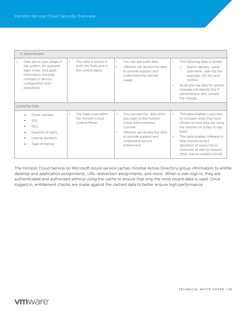| <b>IT Administrator</b>                                                                                                                                          |                                                                                   |                                                                                                                                                                                                       |                                                                                                                                                                                                                                                                                                                  |
|------------------------------------------------------------------------------------------------------------------------------------------------------------------|-----------------------------------------------------------------------------------|-------------------------------------------------------------------------------------------------------------------------------------------------------------------------------------------------------|------------------------------------------------------------------------------------------------------------------------------------------------------------------------------------------------------------------------------------------------------------------------------------------------------------------|
| Data about your usage of<br>the system, for example,<br>login times, and audit<br>information tracking<br>changes to service<br>configuration and<br>operations. | This data is stored in<br>$\bullet$<br>both the Pods and in<br>the control plane. | You can see audit data.<br>$\bullet$<br>VMware can access this data<br>$\bullet$<br>to provide support and<br>understand the service<br>usage.                                                        | The following data is stored:<br>$\bullet$<br>Admin identity: name,<br>$\circ$<br>username, user IDs (for<br>example, AD SID and<br>GUIDS).<br>Audit and log data for system<br>$\bullet$<br>changes will identify the IT<br>administrator who caused<br>the change.                                             |
| Licensing Data                                                                                                                                                   |                                                                                   |                                                                                                                                                                                                       |                                                                                                                                                                                                                                                                                                                  |
| Order number,<br>$\bullet$<br>SID,<br>SKU.<br>$\bullet$<br>Quantity of users,<br>License duration.<br>Type of license.                                           | The Data Lives within<br>$\bullet$<br>the Horizon Cloud<br>Control Plane          | You can see this data when<br>$\bullet$<br>you login to the Horizon<br>Cloud Administrative<br>Console<br>VMware can access this data<br>to provide support and<br>understand service<br>entitlement. | This data enables customers<br>$\bullet$<br>to compare what they have<br>chosen to how they are using<br>the solution on a day-to-day<br>basis<br>This data enables VMware to<br>$\bullet$<br>help ensure correct<br>allocation of resources to<br>customer as well as support<br>other license related activity |

The Horizon Cloud Service on Microsoft Azure service caches minimal Active Directory group information to entitle desktop and application assignments, URL redirection assignments, and more. When a user logs in, they are authenticated and authorized without using the cache to ensure that only the most recent data is used. Once logged in, entitlement checks are made against the cached data to better ensure high performance.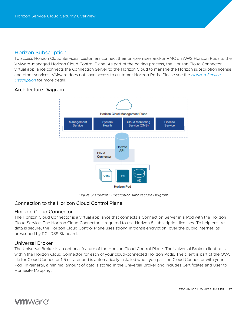## <span id="page-26-0"></span>Horizon Subscription

To access Horizon Cloud Services, customers connect their on-premises and/or VMC on AWS Horizon Pods to the VMware-managed Horizon Cloud Control Plane. As part of the pairing process, the Horizon Cloud Connector virtual appliance connects the Connection Server to the Horizon Cloud to manage the Horizon subscription license and other services. VMware does not have access to customer Horizon Pods. Please see the *[Horizon Service](https://www.vmware.com/content/dam/digitalmarketing/vmware/en/pdf/downloads/eula/vmw-horizon-service-description.pdf)  [Description](https://www.vmware.com/content/dam/digitalmarketing/vmware/en/pdf/downloads/eula/vmw-horizon-service-description.pdf)* for more detail.

## <span id="page-26-1"></span>Architecture Diagram



*Figure 5: Horizon Subscription Architecture Diagram*

## <span id="page-26-2"></span>Connection to the Horizon Cloud Control Plane

### <span id="page-26-3"></span>Horizon Cloud Connector

The Horizon Cloud Connector is a virtual appliance that connects a Connection Server in a Pod with the Horizon Cloud Service. The Horizon Cloud Connector is required to use Horizon 8 subscription licenses. To help ensure data is secure, the Horizon Cloud Control Plane uses strong in transit encryption, over the public internet, as prescribed by PCI-DSS Standard.

### <span id="page-26-4"></span>Universal Broker

The Universal Broker is an optional feature of the Horizon Cloud Control Plane. The Universal Broker client runs within the Horizon Cloud Connector for each of your cloud-connected Horizon Pods. The client is part of the OVA file for Cloud Connector 1.5 or later and is automatically installed when you pair the Cloud Connector with your Pod. In general, a minimal amount of data is stored in the Universal Broker and includes Certificates and User to Homesite Mapping.

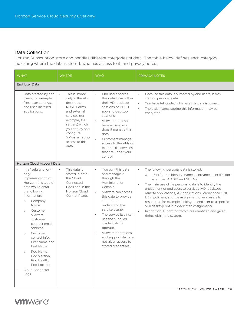## <span id="page-27-0"></span>Data Collection

Horizon Subscription store and handles different categories of data. The table below defines each category, indicating where the data is stored, who has access to it, and privacy notes.

| <b>WHAT</b>                                                                                                                                                                                                                                                                                                                                                                                                      | <b>WHERE</b>                                                                                                                                                                                                                     | <b>WHO</b>                                                                                                                                                                                                                                                                                                                                                                        | <b>PRIVACY NOTES</b>                                                                                                                                                                                                                                                                                                                                                                                                                                                                                                                                                                                        |
|------------------------------------------------------------------------------------------------------------------------------------------------------------------------------------------------------------------------------------------------------------------------------------------------------------------------------------------------------------------------------------------------------------------|----------------------------------------------------------------------------------------------------------------------------------------------------------------------------------------------------------------------------------|-----------------------------------------------------------------------------------------------------------------------------------------------------------------------------------------------------------------------------------------------------------------------------------------------------------------------------------------------------------------------------------|-------------------------------------------------------------------------------------------------------------------------------------------------------------------------------------------------------------------------------------------------------------------------------------------------------------------------------------------------------------------------------------------------------------------------------------------------------------------------------------------------------------------------------------------------------------------------------------------------------------|
| End User Data                                                                                                                                                                                                                                                                                                                                                                                                    |                                                                                                                                                                                                                                  |                                                                                                                                                                                                                                                                                                                                                                                   |                                                                                                                                                                                                                                                                                                                                                                                                                                                                                                                                                                                                             |
| Data created by end<br>$\bullet$<br>users, for example,<br>files, user settings,<br>and user-installed<br>applications.                                                                                                                                                                                                                                                                                          | This is stored<br>$\bullet$<br>only in the VDI<br>desktops,<br><b>RDSH Farms</b><br>and external<br>services (for<br>example, file<br>servers) which<br>you deploy and<br>configure.<br>VMware has no<br>access to this<br>data. | End users access<br>$\bullet$<br>this data from within<br>their VDI desktop<br>sessions or RDSH<br>app and desktop<br>sessions.<br>VMware does not<br>$\bullet$<br>have access, nor<br>does it manage this<br>data<br>Customers manage<br>access to the VMs or<br>external file services<br>that are under your<br>control.                                                       | Because this data is authored by end users, it may<br>$\bullet$<br>contain personal data.<br>You have full control of where this data is stored.<br>$\bullet$<br>The disk images storing this information may be<br>$\bullet$<br>encrypted.                                                                                                                                                                                                                                                                                                                                                                 |
| Horizon Cloud Account Data                                                                                                                                                                                                                                                                                                                                                                                       |                                                                                                                                                                                                                                  |                                                                                                                                                                                                                                                                                                                                                                                   |                                                                                                                                                                                                                                                                                                                                                                                                                                                                                                                                                                                                             |
| In a "subscription-<br>only"<br>implementation of<br>Horizon, this type of<br>data would entail<br>the following<br>information:<br>Company<br>$\circ$<br>Name<br>Customer<br>$\circ$<br>VMware<br>customer<br>connect email<br>address<br>Customer<br>$\circ$<br>contact info,<br>First Name and<br>Last Name<br>Pod Name,<br>$\circ$<br>Pod Version,<br>Pod Health.<br>Pod Location<br>Cloud Connector<br>Logs | This data is<br>$\bullet$<br>stored in both<br>the Cloud<br>Connected<br>Pods and in the<br>Horizon Cloud<br>Control Plane.                                                                                                      | You own this data<br>and manage it<br>through the<br>Administration<br>Console.<br>VMware can access<br>this data to provide<br>support and<br>understand the<br>service usage.<br>The service itself can<br>$\bullet$<br>use the supplied<br>credentials to<br>operate.<br>VMware operations<br>$\bullet$<br>and support staff are<br>not given access to<br>stored credentials. | The following personal data is stored:<br>$\bullet$<br>User/admin identity: name, username, user IDs (for<br>$\circ$<br>example, AD SID and GUIDs).<br>The main use of the personal data is to identify the<br>$\bullet$<br>entitlement of end users to services (VDI desktops,<br>remote applications, AV applications, Workspace ONE<br>UEM policies), and the assignment of end users to<br>resources (for example, linking an end user to a specific<br>VDI desktop VM in a dedicated assignment).<br>In addition, IT administrators are identified and given<br>$\bullet$<br>rights within the system. |



TECHNICAL WHITE PAPER | 28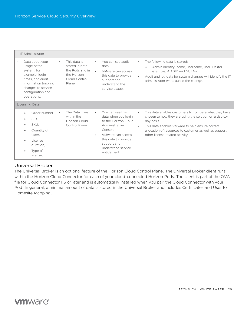| <b>IT Administrator</b>                                                                                                                                                |                                                                                                          |                                                                                                                                                                                                                          |                                                                                                                                                                                                                                                                                                       |
|------------------------------------------------------------------------------------------------------------------------------------------------------------------------|----------------------------------------------------------------------------------------------------------|--------------------------------------------------------------------------------------------------------------------------------------------------------------------------------------------------------------------------|-------------------------------------------------------------------------------------------------------------------------------------------------------------------------------------------------------------------------------------------------------------------------------------------------------|
| Data about your<br>usage of the<br>system, for<br>example, login<br>times, and audit<br>information tracking<br>changes to service<br>configuration and<br>operations. | This data is<br>$\bullet$<br>stored in both<br>the Pods and in<br>the Horizon<br>Cloud Control<br>Plane. | You can see audit<br>$\bullet$<br>data.<br>$\bullet$<br>VMware can access<br>this data to provide<br>support and<br>understand the<br>service usage.                                                                     | The following data is stored:<br>$\bullet$<br>Admin identity: name, username, user IDs (for<br>$\bigcirc$<br>example, AD SID and GUIDs).<br>Audit and log data for system changes will identify the IT<br>$\bullet$<br>administrator who caused the change.                                           |
| Licensing Data                                                                                                                                                         |                                                                                                          |                                                                                                                                                                                                                          |                                                                                                                                                                                                                                                                                                       |
| Order number,<br>$\bullet$<br>SID,<br>SKU.<br>Quantity of<br>users,<br>License<br>duration,<br>Type of<br>license.                                                     | The Data Lives<br>$\bullet$<br>within the<br>Horizon Cloud<br>Control Plane                              | You can see this<br>$\bullet$<br>data when you login<br>to the Horizon Cloud<br>Administrative<br>Console<br>VMware can access<br>$\bullet$<br>this data to provide<br>support and<br>understand service<br>entitlement. | This data enables customers to compare what they have<br>$\bullet$<br>chosen to how they are using the solution on a day-to-<br>day basis<br>This data enables VMware to help ensure correct<br>$\bullet$<br>allocation of resources to customer as well as support<br>other license related activity |

## <span id="page-28-0"></span>Universal Broker

The Universal Broker is an optional feature of the Horizon Cloud Control Plane. The Universal Broker client runs within the Horizon Cloud Connector for each of your cloud-connected Horizon Pods. The client is part of the OVA file for Cloud Connector 1.5 or later and is automatically installed when you pair the Cloud Connector with your Pod. In general, a minimal amount of data is stored in the Universal Broker and includes Certificates and User to Homesite Mapping.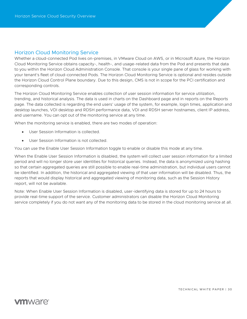## <span id="page-29-0"></span>Horizon Cloud Monitoring Service

Whether a cloud-connected Pod lives on-premises, in VMware Cloud on AWS, or in Microsoft Azure, the Horizon Cloud Monitoring Service obtains capacity-, health-, and usage-related data from the Pod and presents that data to you within the Horizon Cloud Administration Console. That console is your single pane of glass for working with your tenant's fleet of cloud-connected Pods. The Horizon Cloud Monitoring Service is optional and resides outside the Horizon Cloud Control Plane boundary. Due to this design, CMS is not in scope for the PCI certification and corresponding controls.

The Horizon Cloud Monitoring Service enables collection of user session information for service utilization, trending, and historical analysis. The data is used in charts on the Dashboard page and in reports on the Reports page. The data collected is regarding the end users' usage of the system, for example, login times, application and desktop launches, VDI desktop and RDSH performance data, VDI and RDSH server hostnames, client IP address, and username. You can opt out of the monitoring service at any time.

When the monitoring service is enabled, there are two modes of operation:

- User Session Information is collected.
- User Session Information is not collected.

You can use the Enable User Session Information toggle to enable or disable this mode at any time.

When the Enable User Session Information is disabled, the system will collect user session information for a limited period and will no longer store user identities for historical queries. Instead, the data is anonymized using hashing so that certain aggregated queries are still possible to enable real-time administration, but individual users cannot be identified. In addition, the historical and aggregated viewing of that user information will be disabled. Thus, the reports that would display historical and aggregated viewing of monitoring data, such as the Session History report, will not be available.

Note: When Enable User Session Information is disabled, user-identifying data is stored for up to 24 hours to provide real-time support of the service. Customer administrators can disable the Horizon Cloud Monitoring service completely if you do not want any of the monitoring data to be stored in the cloud monitoring service at all.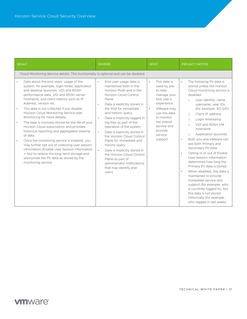| <b>WHAT</b>                                                                                                                                                                                                                                                                                                                                                                                                                                                                                                                                                                                                                                                                                                                                                              | <b>WHERE</b>                                                                                                                                                                                                                                                                                                                                                                                                                                          | <b>WHO</b>                                                                                                                                                                                                                | <b>PRIVACY NOTES</b>                                                                                                                                                                                                                                                                                                                                                                                         |
|--------------------------------------------------------------------------------------------------------------------------------------------------------------------------------------------------------------------------------------------------------------------------------------------------------------------------------------------------------------------------------------------------------------------------------------------------------------------------------------------------------------------------------------------------------------------------------------------------------------------------------------------------------------------------------------------------------------------------------------------------------------------------|-------------------------------------------------------------------------------------------------------------------------------------------------------------------------------------------------------------------------------------------------------------------------------------------------------------------------------------------------------------------------------------------------------------------------------------------------------|---------------------------------------------------------------------------------------------------------------------------------------------------------------------------------------------------------------------------|--------------------------------------------------------------------------------------------------------------------------------------------------------------------------------------------------------------------------------------------------------------------------------------------------------------------------------------------------------------------------------------------------------------|
| Cloud Monitoring Service details: This functionality is optional and can be disabled<br>Data about the end users' usage of the<br>$\bullet$<br>system, for example, login times, application<br>and desktop launches, VDI and RDSH<br>performance data, VDI and RDSH server<br>hostname, and client metrics such as IP<br>Address, version etc.<br>This data is not collected if you disable<br>$\bullet$<br>Horizon Cloud Monitoring Service (see<br>Monitoring for more details).<br>The data is normally stored for the life of your<br>$\bullet$<br>Horizon Cloud subscription and provides<br>historical reporting and aggregated viewing<br>of data.<br>Once the monitoring service is enabled, you<br>$\bullet$<br>may further opt out of collecting user session | End-user usage data is<br>$\bullet$<br>maintained both in the<br>Horizon Pods and in the<br>Horizon Cloud Control<br>Plane.<br>Data is explicitly stored in<br>$\bullet$<br>the Pod for immediate<br>and historic query.<br>Data is implicitly logged in<br>$\bullet$<br>log files as part of the<br>operation of the system.<br>Data is explicitly stored in<br>$\bullet$<br>the Horizon Cloud Control<br>Plane for immediate and<br>historic query. | This data is<br>$\bullet$<br>used by you<br>to help<br>manage your<br>end user's<br>experience.<br>VMware may<br>$\bullet$<br>use this data<br>to monitor<br>the overall<br>service and<br>provide<br>service<br>support. | The following PII data is<br>$\bullet$<br>stored unless the Horizon<br>Cloud monitoring service is<br>disabled.<br>User identity: name,<br>$\circ$<br>username, user IDs<br>(for example, AD SID)<br>Client IP address<br>$\circ$<br>Login timestamp<br>$\circ$<br>VDI and RDSH VM<br>$\circ$<br>hostname<br>Application launches<br>$\circ$<br>Both you and VMware can<br>$\bullet$<br>see both Primary and |
| information (Enable User Session Information<br>= No) to reduce the long-term storage and<br>anonymize the PII data as stored by the<br>monitoring service.                                                                                                                                                                                                                                                                                                                                                                                                                                                                                                                                                                                                              | $\bullet$<br>Data is implicitly stored in<br>the Horizon Cloud Control<br>Plane as part of<br>administrator notifications<br>that may identify end<br>users.                                                                                                                                                                                                                                                                                          |                                                                                                                                                                                                                           | Secondary PII data.<br>Opting in or out of Enable<br>$\bullet$<br>User Session Information<br>determines how long the<br>Primary PII data is stored.<br>When disabled, this data is<br>maintained to provide<br>immediate service and<br>support (for example, who<br>is currently logged in), but<br>this data is not stored<br>historically (for example,<br>who logged in last week).                     |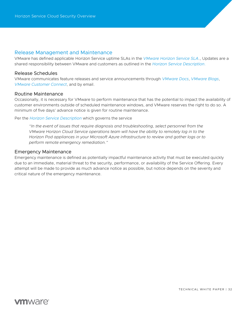#### <span id="page-31-0"></span>Release Management and Maintenance

VMware has defined applicable Horizon Service uptime SLAs in the *[VMware Horizon Service SLA](https://www.vmware.com/content/dam/digitalmarketing/vmware/en/pdf/downloads/eula/vmw-euc-consolidated-service-level-agreement.pdf)*., Updates are a shared responsibility between VMware and customers as outlined in the *[Horizon Service Description.](https://www.vmware.com/content/dam/digitalmarketing/vmware/en/pdf/downloads/eula/vmw-horizon-service-description.pdf)*

#### <span id="page-31-1"></span>Release Schedules

VMware communicates feature releases and service announcements through *[VMware Docs](https://docs.vmware.com/en/VMware-Horizon-Cloud-Service/index.html)*, *[VMware Blogs](https://blogs.vmware.com/euc/)*, *[VMware Customer Connect](https://my.vmware.com/)*, and by email.

#### <span id="page-31-2"></span>Routine Maintenance

Occasionally, it is necessary for VMware to perform maintenance that has the potential to impact the availability of customer environments outside of scheduled maintenance windows, and VMware reserves the right to do so. A minimum of five days' advance notice is given for routine maintenance.

Per the *[Horizon Service Description](https://www.vmware.com/content/dam/digitalmarketing/vmware/en/pdf/downloads/eula/vmw-horizon-service-description.pdf)* which governs the service

*"In the event of issues that require diagnosis and troubleshooting, select personnel from the VMware Horizon Cloud Service operations team will have the ability to remotely log in to the Horizon Pod appliances in your Microsoft Azure infrastructure to review and gather logs or to perform remote emergency remediation."*

#### <span id="page-31-3"></span>Emergency Maintenance

Emergency maintenance is defined as potentially impactful maintenance activity that must be executed quickly due to an immediate, material threat to the security, performance, or availability of the Service Offering. Every attempt will be made to provide as much advance notice as possible, but notice depends on the severity and critical nature of the emergency maintenance.

TECHNICAL WHITE PAPER | 32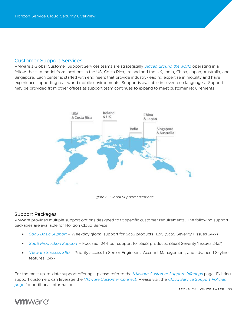## <span id="page-32-0"></span>Customer Support Services

VMware's Global Customer Support Services teams are strategically *[placed around the world](https://www.vmware.com/company/office_locations.html)* operating in a follow-the-sun model from locations in the US, Costa Rica, Ireland and the UK, India, China, Japan, Australia, and Singapore. Each center is staffed with engineers that provide industry-leading expertise in mobility and have experience supporting real-world mobile environments. Support is available in seventeen languages. Support may be provided from other offices as support team continues to expand to meet customer requirements.



*Figure 6: Global Support Locations*

### <span id="page-32-1"></span>Support Packages

VMware provides multiple support options designed to fit specific customer requirements. The following support packages are available for Horizon Cloud Service:

- *[SaaS Basic Support](https://www.vmware.com/support/services/saas-basic.html)* Weekday global support for SaaS products, 12x5 (SaaS Severity 1 issues 24x7)
- *[SaaS Production Support](https://www.vmware.com/support/services/saas-production.html)* Focused, 24-hour support for SaaS products, (SaaS Severity 1 issues 24x7)
- *[VMware Success 360](https://www.vmware.com/customer-success/success-360.html)* Priority access to Senior Engineers, Account Management, and advanced Skyline features, 24x7

For the most up-to-date support offerings, please refer to the *[VMware Customer Support Offerings](https://www.vmware.com/support/services.html)* page. Existing support customers can leverage the *[VMware Customer Connect](https://my.vmware.com/group/vmware/home)*. Please visit the *[Cloud Service Support Policies](https://www.vmware.com/support/policies/saas-support.html)  [page](https://www.vmware.com/support/policies/saas-support.html)* for additional information.

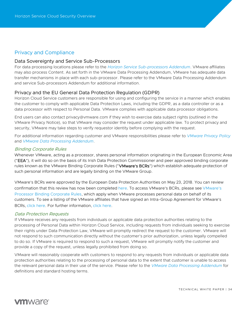## <span id="page-33-0"></span>Privacy and Compliance

#### <span id="page-33-1"></span>Data Sovereignty and Service Sub-Processors

For data processing locations please refer to the *[Horizon Service Sub-processors Addendum](https://www.vmware.com/content/dam/digitalmarketing/vmware/en/pdf/downloads/eula/vmw-horizon-service-sub-processors.pdf)*. VMware affiliates may also process Content. As set forth in the VMware Data Processing Addendum, VMware has adequate data transfer mechanisms in place with each sub-processor. Please refer to the VMware Data Processing Addendum and service Sub-processors Addendum for additional information.

### <span id="page-33-2"></span>Privacy and the EU General Data Protection Regulation (GDPR)

Horizon Cloud Service customers are responsible for using and configuring the service in a manner which enables the customer to comply with applicable Data Protection Laws, including the GDPR, as a data controller or as a data processor with respect to Personal Data. VMware complies with applicable data processor obligations.

End users can also contact privacy@vmware.com if they wish to exercise data subject rights (outlined in the VMware Privacy Notice), so that VMware may consider the request under applicable law. To protect privacy and security, VMware may take steps to verify requestor identity before complying with the request.

For additional information regarding customer and VMware responsibilities please refer to *[VMware Privacy Policy](https://www.vmware.com/help/privacy.html)* and *[VMware Data Processing Addendum](https://www.vmware.com/content/dam/digitalmarketing/vmware/en/pdf/downloads/eula/vmware-data-processing-addendum.pdf)*.

#### Binding Corporate Rules

Whenever VMware, acting as a processor, shares personal information originating in the European Economic Area ("EEA"), it will do so on the basis of its Irish Data Protection Commissioner and peer approved binding corporate rules known as the VMware Binding Corporate Rules ("VMware's BCRs") which establish adequate protection of such personal information and are legally binding on the VMware Group.

VMware's BCRs were approved by the European Data Protection Authorities on May 23, 2018. You can review confirmation that this review has now been completed [here.](http://ec.europa.eu/newsroom/article29/item-detail.cfm?item_id=613841) To access VMware's BCRs, please see [VMware's](https://www.vmware.com/content/dam/digitalmarketing/vmware/en/pdf/company/vmw-binding-corporate-rules.pdf)  [Processor Binding Corporate Rules,](https://www.vmware.com/content/dam/digitalmarketing/vmware/en/pdf/company/vmw-binding-corporate-rules.pdf) which apply when VMware processes personal data on behalf of its customers. To see a listing of the VMware affiliates that have signed an Intra-Group Agreement for VMware's BCRs, [click here.](https://www.vmware.com/content/dam/digitalmarketing/vmware/en/pdf/company/vmw-list-of-affiliates.pdf) For further information, [click here.](https://www.vmware.com/content/dam/digitalmarketing/vmware/en/pdf/company/vmware-bcr-for-processor-external-faqs.pdf)

#### Data Protection Requests

If VMware receives any requests from individuals or applicable data protection authorities relating to the processing of Personal Data within Horizon Cloud Service, including requests from individuals seeking to exercise their rights under Data Protection Law, VMware will promptly redirect the request to the customer. VMware will not respond to such communication directly without the customer's prior authorization, unless legally compelled to do so. If VMware is required to respond to such a request, VMware will promptly notify the customer and provide a copy of the request, unless legally prohibited from doing so.

VMware will reasonably cooperate with customers to respond to any requests from individuals or applicable data protection authorities relating to the processing of personal data to the extent that customer is unable to access the relevant personal data in their use of the service. Please refer to the *[VMware Data Processing Addendum](https://www.vmware.com/content/dam/digitalmarketing/vmware/en/pdf/downloads/eula/vmware-data-processing-addendum.pdf)* for definitions and standard hosting terms.

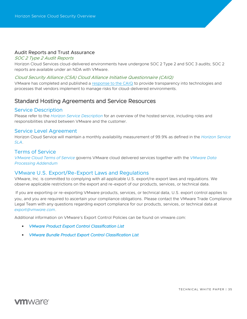#### <span id="page-34-0"></span>Audit Reports and Trust Assurance

#### SOC 2 Type 2 Audit Reports

Horizon Cloud Services cloud-delivered environments have undergone SOC 2 Type 2 and SOC 3 audits; SOC 2 reports are available under an NDA with VMware.

#### Cloud Security Alliance (CSA) Cloud Alliance Initiative Questionnaire (CAIQ)

VMware has completed and published a [response to the CAIQ](https://cloudsecurityalliance.org/star/registry/vmware-inc/) to provide transparency into technologies and processes that vendors implement to manage risks for cloud-delivered environments.

## <span id="page-34-1"></span>Standard Hosting Agreements and Service Resources

#### <span id="page-34-2"></span>Service Description

Please refer to the *[Horizon Service Description](https://www.vmware.com/content/dam/digitalmarketing/vmware/en/pdf/downloads/eula/vmw-horizon-service-description.pdf)* for an overview of the hosted service, including roles and responsibilities shared between VMware and the customer.

#### <span id="page-34-3"></span>Service Level Agreement

Horizon Cloud Service will maintain a monthly availability measurement of 99.9% as defined in the *[Horizon Service](https://www.vmware.com/content/dam/digitalmarketing/vmware/en/pdf/downloads/eula/vmw-euc-consolidated-service-level-agreement.pdf)  [SLA](https://www.vmware.com/content/dam/digitalmarketing/vmware/en/pdf/downloads/eula/vmw-euc-consolidated-service-level-agreement.pdf)*.

#### <span id="page-34-4"></span>Terms of Service

*VMware Cloud [Terms of Service](https://www.vmware.com/content/dam/digitalmarketing/vmware/en/pdf/downloads/eula/vmware-cloud-services-universal-tos.pdf)* governs VMware cloud delivered services together with the *[VMware Data](https://www.vmware.com/content/dam/digitalmarketing/vmware/en/pdf/downloads/eula/vmware-data-processing-addendum.pdf)  [Processing Addendum](https://www.vmware.com/content/dam/digitalmarketing/vmware/en/pdf/downloads/eula/vmware-data-processing-addendum.pdf)*

### <span id="page-34-5"></span>VMware U.S. Export/Re-Export Laws and Regulations

VMware, Inc. is committed to complying with all applicable U.S. export/re-export laws and regulations. We observe applicable restrictions on the export and re-export of our products, services, or technical data.

If you are exporting or re-exporting VMware products, services, or technical data, U.S. export control applies to you, and you are required to ascertain your compliance obligations. Please contact the VMware Trade Compliance Legal Team with any questions regarding export compliance for our products, services, or technical data at *[export@vmware.com](mailto:export@vmware.com)*.

Additional information on VMware's Export Control Policies can be found on vmware.com:

- *[VMware Product Export Control Classification List](https://www.vmware.com/content/dam/digitalmarketing/vmware/en/pdf/vmware-product-export-control-classification-list.pdf)*
- *[VMware Bundle Product Export Control Classification List](https://www.vmware.com/content/dam/digitalmarketing/vmware/en/pdf/bundle-product-export-control-classification-list.pdf)*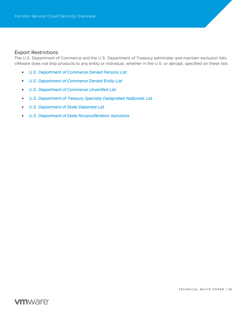#### <span id="page-35-0"></span>Export Restrictions

The U.S. Department of Commerce and the U.S. Department of Treasury administer and maintain exclusion lists. VMware does not ship products to any entity or individual, whether in the U.S. or abroad, specified on these lists.

- *[U.S. Department of Commerce Denied Persons List](http://www.bis.doc.gov/dpl/default.shtm)*
- *[U.S. Department of Commerce Denied Entity List](http://www.bis.doc.gov/entities/default.htm)*
- *[U.S. Department of Commerce Unverified List](http://www.bis.doc.gov/enforcement/unverifiedlist/unverified_parties.html)*
- *[U.S. Department of Treasury Specially Designated Nationals List](https://home.treasury.gov/policy-issues/financial-sanctions/specially-designated-nationals-and-blocked-persons-list-sdn-human-readable-lists)*
- *[U.S. Department of State Debarred List](https://www.pmddtc.state.gov/ddtc_public?id=ddtc_kb_article_page&sys_id=c22d1833dbb8d300d0a370131f9619f0)*
- *[U.S. Department of State Nonproliferation Sanctions](http://www.state.gov/t/isn/c15231.htm)*